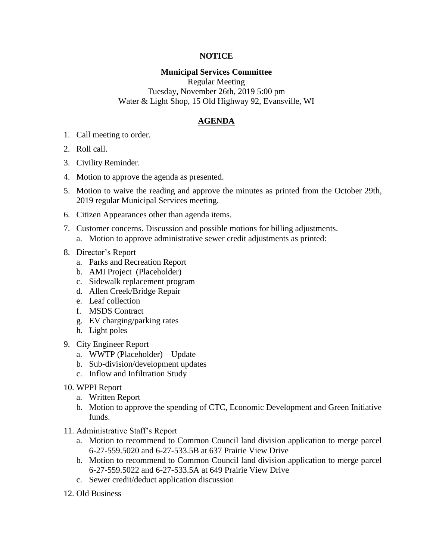## **NOTICE**

## **Municipal Services Committee**

Regular Meeting Tuesday, November 26th, 2019 5:00 pm Water & Light Shop, 15 Old Highway 92, Evansville, WI

## **AGENDA**

- 1. Call meeting to order.
- 2. Roll call.
- 3. Civility Reminder.
- 4. Motion to approve the agenda as presented.
- 5. Motion to waive the reading and approve the minutes as printed from the October 29th, 2019 regular Municipal Services meeting.
- 6. Citizen Appearances other than agenda items.
- 7. Customer concerns. Discussion and possible motions for billing adjustments.
	- a. Motion to approve administrative sewer credit adjustments as printed:
- 8. Director's Report
	- a. Parks and Recreation Report
	- b. AMI Project (Placeholder)
	- c. Sidewalk replacement program
	- d. Allen Creek/Bridge Repair
	- e. Leaf collection
	- f. MSDS Contract
	- g. EV charging/parking rates
	- h. Light poles
- 9. City Engineer Report
	- a. WWTP (Placeholder) Update
	- b. Sub-division/development updates
	- c. Inflow and Infiltration Study
- 10. WPPI Report
	- a. Written Report
	- b. Motion to approve the spending of CTC, Economic Development and Green Initiative funds.
- 11. Administrative Staff's Report
	- a. Motion to recommend to Common Council land division application to merge parcel 6-27-559.5020 and 6-27-533.5B at 637 Prairie View Drive
	- b. Motion to recommend to Common Council land division application to merge parcel 6-27-559.5022 and 6-27-533.5A at 649 Prairie View Drive
	- c. Sewer credit/deduct application discussion
- 12. Old Business